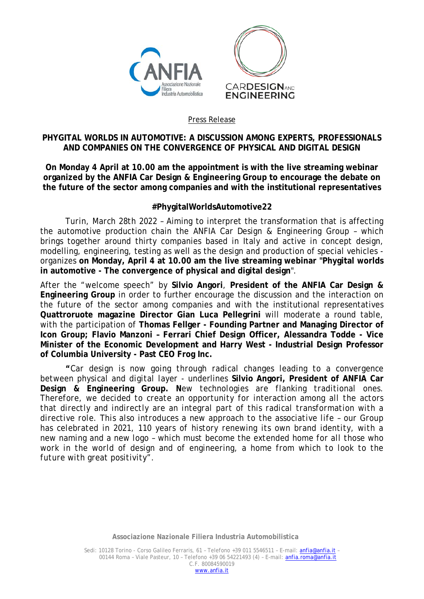

## Press Release

## **PHYGITAL WORLDS IN AUTOMOTIVE: A DISCUSSION AMONG EXPERTS, PROFESSIONALS AND COMPANIES ON THE CONVERGENCE OF PHYSICAL AND DIGITAL DESIGN**

**On Monday 4 April at 10.00 am the appointment is with the live streaming webinar organized by the ANFIA Car Design & Engineering Group to encourage the debate on the future of the sector among companies and with the institutional representatives**

## **#PhygitalWorldsAutomotive22**

*Turin, March 28th 2022* – Aiming to interpret the transformation that is affecting the automotive production chain the ANFIA Car Design & Engineering Group – which brings together around thirty companies based in Italy and active in concept design, modelling, engineering, testing as well as the design and production of special vehicles organizes **on Monday, April 4 at 10.00 am the live streaming webinar "Phygital worlds in automotive - The convergence of physical and digital design**".

After the "welcome speech" by **Silvio Angori**, **President of the ANFIA Car Design & Engineering Group** in order to further encourage the discussion and the interaction on the future of the sector among companies and with the institutional representatives **Quattroruote magazine Director Gian Luca Pellegrini** will moderate a round table, with the participation of **Thomas Fellger - Founding Partner and Managing Director of Icon Group; Flavio Manzoni – Ferrari Chief Design Officer, Alessandra Todde - Vice Minister of the Economic Development and Harry West - Industrial Design Professor of Columbia University - Past CEO Frog Inc.**

**"***Car design is now going through radical changes leading to a convergence between physical and digital layer* - underlines **Silvio Angori, President of ANFIA Car Design & Engineering Group.** *New technologies are flanking traditional ones. Therefore, we decided to create an opportunity for interaction among all the actors that directly and indirectly are an integral part of this radical transformation with a directive role. This also introduces a new approach to the associative life – our Group has celebrated in 2021, 110 years of history renewing its own brand identity, with a new naming and a new logo – which must become the extended home for all those who*  work in the world of design and of engineering, a home from which to look to the *future with great positivity".*